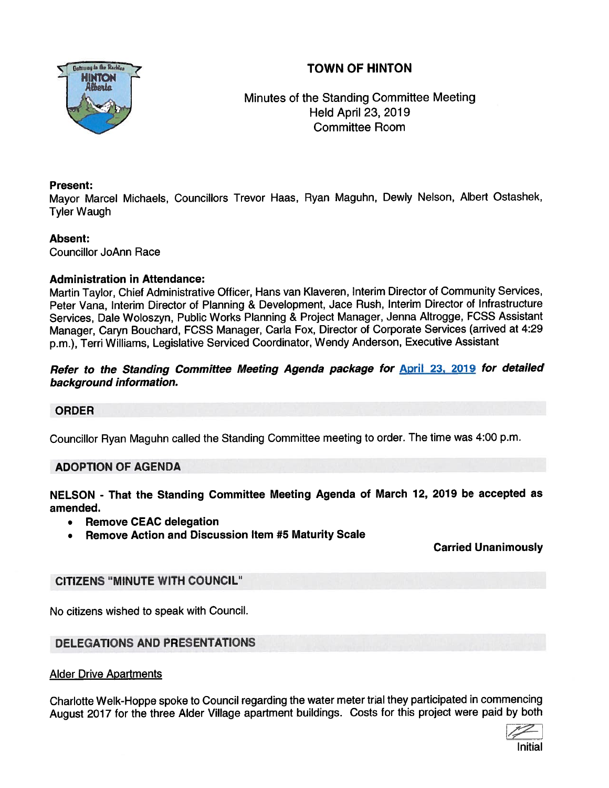# TOWN OF HINTON



Minutes of the Standing Committee Meeting Held April 23, 2019 Committee Room

### Present:

Mayor Marcel Michaels, Councillors Trevor Haas, Ryan Maguhn, Dewly Nelson, Albert Ostashek, Tyler Waugh

# Absent:

Councillor JoAnn Race

# Administration in Attendance:

Martin Taylor, Chief Administrative Officer, Hans van Klaveren, Interim Director of Community Services, Peter Vana, Interim Director of Planning & Development, Jace Rush, Interim Director of Infrastructure Services, Dale Woloszyn, Public Works Planning & Project Manager, Jenna Altrogge, FCSS Assistant Manager, Caryn Bouchard, FCSS Manager, Carla Fox, Director ot Corporate Services (arrived at 4:29 p.m.), Terri Williams, Legislative Serviced Coordinator, Wendy Anderson, Executive Assistant

# Refer to the Standing Committee Meeting Agenda package for **April 23, 2019** for detailed background information.

# ORDER

Councillor Ryan Maguhn called the Standing Committee meeting to order. The time was 4:00 p.m.

# ADOPTION OF AGENDA

NELSON - That the Standing Committee Meeting Agenda of March 12, <sup>2019</sup> be accepted as amended.

- •Remove CEAC delegation
- •Remove Action and Discussion Item #5 Maturity Scale

# Carried Unanimously

# CITIZENS "MINUTE WITH COUNCIL"

No citizens wished to speak with Council.

# DELEGATIONS AND PRESENTATIONS

**Alder Drive Apartments** 

Charlotte Welk-Hoppe spoke to Council regarding the water meter trial they participated in commencing August <sup>2017</sup> for the three Alder Village apartment buildings. Costs for this project were paid by both

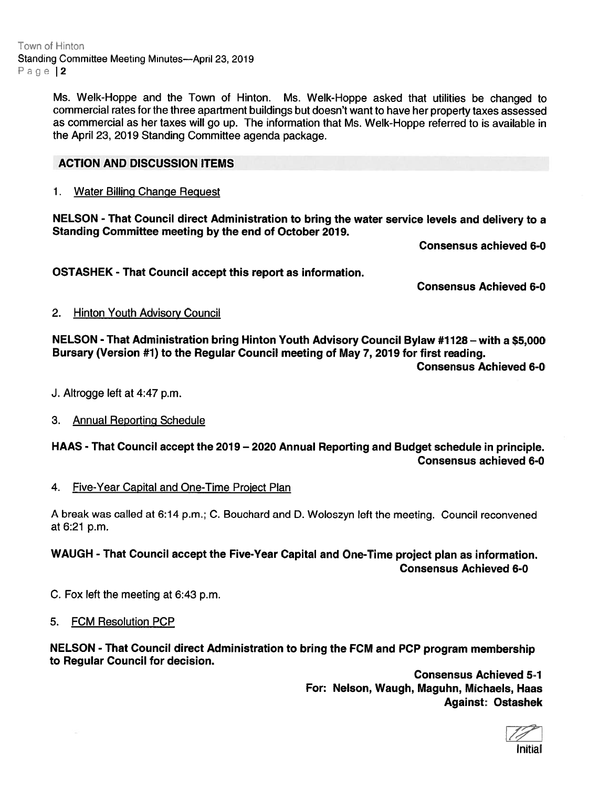Town of Hinton Standing Committee Meeting Minutes—April 23, 2019 Page 12

> Ms. Welk-Hoppe and the Town of Hinton. Ms. Welk-Hoppe asked that utilities be changed to commercial rates for the three apartment buildings but doesn't want to have her property taxes assessed as commercial as her taxes will go up. The information that Ms. Welk-Hoppe referred to is available in the April 23, 2019 Standing Committee agenda package.

#### ACTION AND DISCUSSION ITEMS

#### 1. Water Billing Change Reguest

NELSON - That Council direct Administration to bring the water service levels and delivery to <sup>a</sup> Standing Committee meeting by the end of October 2019.

Consensus achieved 6-0

OSTASHEK -That Council accep<sup>t</sup> this repor<sup>t</sup> as information.

Consensus Achieved 6-0

#### 2. Hinton Youth Advisory Council

NELSON - That Administration bring Hinton Youth Advisory Council Bylaw #7128 — with <sup>a</sup> \$5,000 Bursary (Version #1) to the Regular Council meeting of May 7, 2019 for first reading.

Consensus Achieved 6-0

- J. Altrogge left at 4:47 p.m.
- 3. Annual Reporting Schedule

HAAS - That Council accep<sup>t</sup> the 2079— 2020 Annual Reporting and Budget schedule in principle. Consensus achieved 6-0

#### 4. Five-Year Capital and One-Time Project Plan

<sup>A</sup> break was called at 6:14 p.m.; C. Bouchard and D. Woloszyn left the meeting. Council reconvened at 6:21 p.m.

WAUGH - That Council accep<sup>t</sup> the Five-Year Capital and One-Time project <sup>p</sup>lan as information. Consensus Achieved 6-0

C. Fox left the meeting at 6:43 p.m.

#### 5. FCM Resolution PCP

NELSON - That Council direct Administration to bring the FCM and PCP program membership to Regular Council for decision.

> Consensus Achieved 5-1 For: Nelson, Waugh, Maguhn, Michaels, Haas Against: Ostashek